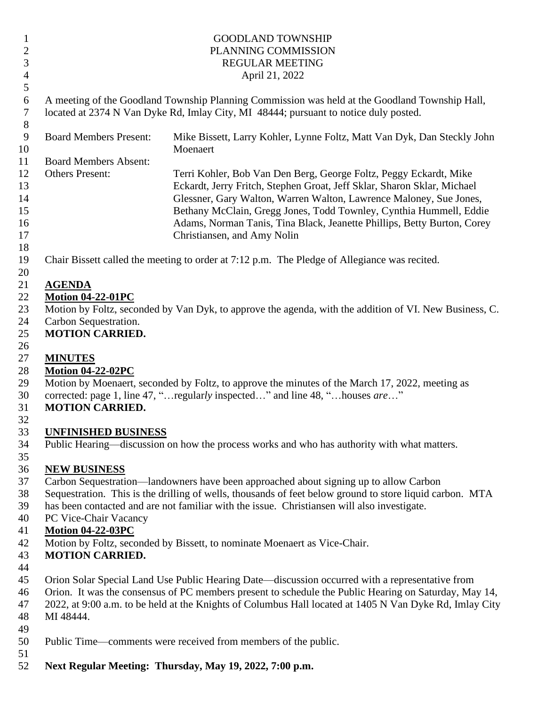### 1 GOODLAND TOWNSHIP PLANNING COMMISSION REGULAR MEETING April 21, 2022

 A meeting of the Goodland Township Planning Commission was held at the Goodland Township Hall, located at 2374 N Van Dyke Rd, Imlay City, MI 48444; pursuant to notice duly posted.

| 8  |                               |                                                                         |
|----|-------------------------------|-------------------------------------------------------------------------|
| 9  | <b>Board Members Present:</b> | Mike Bissett, Larry Kohler, Lynne Foltz, Matt Van Dyk, Dan Steckly John |
| 10 |                               | Moenaert                                                                |
| 11 | <b>Board Members Absent:</b>  |                                                                         |
| 12 | <b>Others Present:</b>        | Terri Kohler, Bob Van Den Berg, George Foltz, Peggy Eckardt, Mike       |
| 13 |                               | Eckardt, Jerry Fritch, Stephen Groat, Jeff Sklar, Sharon Sklar, Michael |
| 14 |                               | Glessner, Gary Walton, Warren Walton, Lawrence Maloney, Sue Jones,      |
| 15 |                               | Bethany McClain, Gregg Jones, Todd Townley, Cynthia Hummell, Eddie      |
| 16 |                               | Adams, Norman Tanis, Tina Black, Jeanette Phillips, Betty Burton, Corey |
| 17 |                               | Christiansen, and Amy Nolin                                             |
| 18 |                               |                                                                         |

Chair Bissett called the meeting to order at 7:12 p.m. The Pledge of Allegiance was recited.

#### **AGENDA**

# **Motion 04-22-01PC**

 Motion by Foltz, seconded by Van Dyk, to approve the agenda, with the addition of VI. New Business, C. Carbon Sequestration.

# **MOTION CARRIED.**

### **MINUTES**

# **Motion 04-22-02PC**

Motion by Moenaert, seconded by Foltz, to approve the minutes of the March 17, 2022, meeting as

corrected: page 1, line 47, "…regular*ly* inspected…" and line 48, "…houses *are*…"

#### **MOTION CARRIED.**

## **UNFINISHED BUSINESS**

Public Hearing—discussion on how the process works and who has authority with what matters.

#### **NEW BUSINESS**

- Carbon Sequestration—landowners have been approached about signing up to allow Carbon
- Sequestration. This is the drilling of wells, thousands of feet below ground to store liquid carbon. MTA
- has been contacted and are not familiar with the issue. Christiansen will also investigate.
- PC Vice-Chair Vacancy

## **Motion 04-22-03PC**

Motion by Foltz, seconded by Bissett, to nominate Moenaert as Vice-Chair.

## **MOTION CARRIED.**

- 
- Orion Solar Special Land Use Public Hearing Date—discussion occurred with a representative from
- Orion. It was the consensus of PC members present to schedule the Public Hearing on Saturday, May 14,
- 2022, at 9:00 a.m. to be held at the Knights of Columbus Hall located at 1405 N Van Dyke Rd, Imlay City
- MI 48444.
- 
- Public Time—comments were received from members of the public.
- 
- **Next Regular Meeting: Thursday, May 19, 2022, 7:00 p.m.**